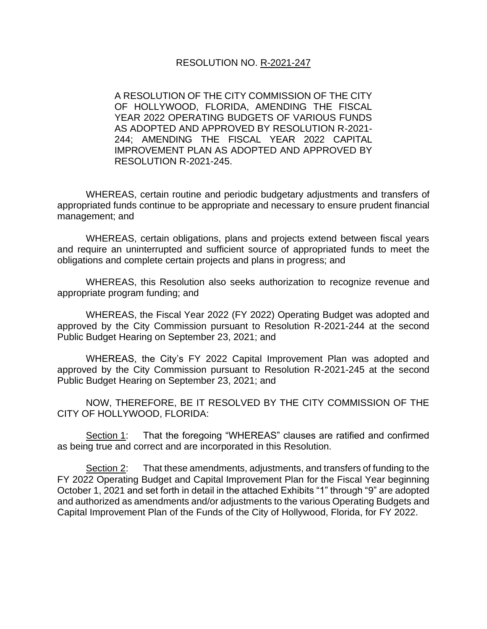#### RESOLUTION NO. R-2021-247

A RESOLUTION OF THE CITY COMMISSION OF THE CITY OF HOLLYWOOD, FLORIDA, AMENDING THE FISCAL YEAR 2022 OPERATING BUDGETS OF VARIOUS FUNDS AS ADOPTED AND APPROVED BY RESOLUTION R-2021- 244; AMENDING THE FISCAL YEAR 2022 CAPITAL IMPROVEMENT PLAN AS ADOPTED AND APPROVED BY RESOLUTION R-2021-245.

WHEREAS, certain routine and periodic budgetary adjustments and transfers of appropriated funds continue to be appropriate and necessary to ensure prudent financial management; and

WHEREAS, certain obligations, plans and projects extend between fiscal years and require an uninterrupted and sufficient source of appropriated funds to meet the obligations and complete certain projects and plans in progress; and

WHEREAS, this Resolution also seeks authorization to recognize revenue and appropriate program funding; and

WHEREAS, the Fiscal Year 2022 (FY 2022) Operating Budget was adopted and approved by the City Commission pursuant to Resolution R-2021-244 at the second Public Budget Hearing on September 23, 2021; and

WHEREAS, the City's FY 2022 Capital Improvement Plan was adopted and approved by the City Commission pursuant to Resolution R-2021-245 at the second Public Budget Hearing on September 23, 2021; and

NOW, THEREFORE, BE IT RESOLVED BY THE CITY COMMISSION OF THE CITY OF HOLLYWOOD, FLORIDA:

Section 1: That the foregoing "WHEREAS" clauses are ratified and confirmed as being true and correct and are incorporated in this Resolution.

Section 2: That these amendments, adjustments, and transfers of funding to the FY 2022 Operating Budget and Capital Improvement Plan for the Fiscal Year beginning October 1, 2021 and set forth in detail in the attached Exhibits "1" through "9" are adopted and authorized as amendments and/or adjustments to the various Operating Budgets and Capital Improvement Plan of the Funds of the City of Hollywood, Florida, for FY 2022.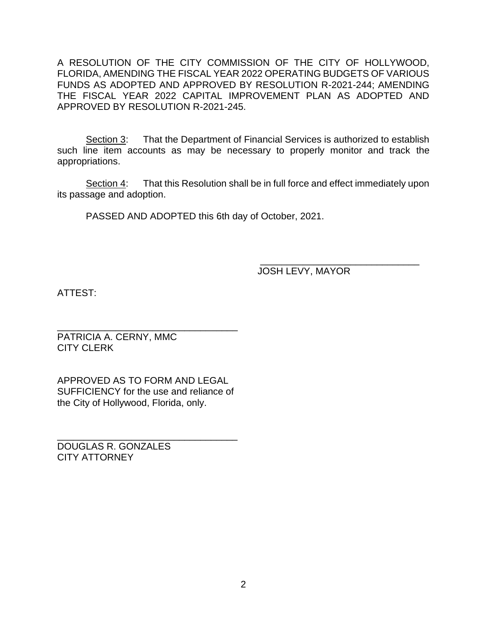A RESOLUTION OF THE CITY COMMISSION OF THE CITY OF HOLLYWOOD, FLORIDA, AMENDING THE FISCAL YEAR 2022 OPERATING BUDGETS OF VARIOUS FUNDS AS ADOPTED AND APPROVED BY RESOLUTION R-2021-244; AMENDING THE FISCAL YEAR 2022 CAPITAL IMPROVEMENT PLAN AS ADOPTED AND APPROVED BY RESOLUTION R-2021-245.

Section 3: That the Department of Financial Services is authorized to establish such line item accounts as may be necessary to properly monitor and track the appropriations.

Section 4: That this Resolution shall be in full force and effect immediately upon its passage and adoption.

PASSED AND ADOPTED this 6th day of October, 2021.

 $\frac{1}{2}$  ,  $\frac{1}{2}$  ,  $\frac{1}{2}$  ,  $\frac{1}{2}$  ,  $\frac{1}{2}$  ,  $\frac{1}{2}$  ,  $\frac{1}{2}$  ,  $\frac{1}{2}$  ,  $\frac{1}{2}$  ,  $\frac{1}{2}$  ,  $\frac{1}{2}$  ,  $\frac{1}{2}$  ,  $\frac{1}{2}$  ,  $\frac{1}{2}$  ,  $\frac{1}{2}$  ,  $\frac{1}{2}$  ,  $\frac{1}{2}$  ,  $\frac{1}{2}$  ,  $\frac{1$ JOSH LEVY, MAYOR

ATTEST:

\_\_\_\_\_\_\_\_\_\_\_\_\_\_\_\_\_\_\_\_\_\_\_\_\_\_\_\_\_\_\_\_\_\_ PATRICIA A. CERNY, MMC CITY CLERK

APPROVED AS TO FORM AND LEGAL SUFFICIENCY for the use and reliance of the City of Hollywood, Florida, only.

\_\_\_\_\_\_\_\_\_\_\_\_\_\_\_\_\_\_\_\_\_\_\_\_\_\_\_\_\_\_\_\_\_\_ DOUGLAS R. GONZALES CITY ATTORNEY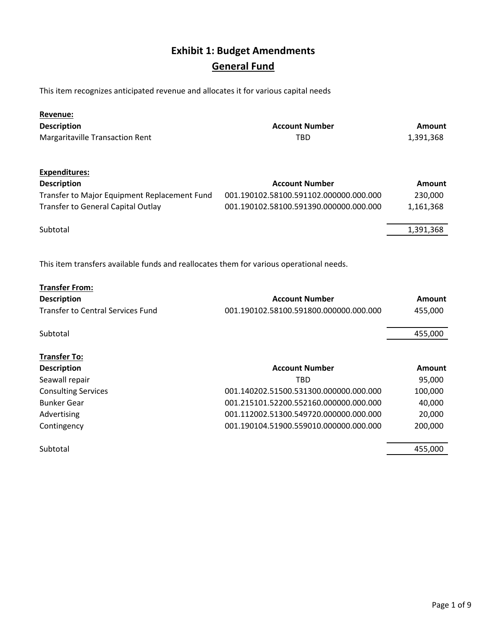# **Exhibit 1: Budget Amendments General Fund**

This item recognizes anticipated revenue and allocates it for various capital needs

| <b>Revenue:</b>                                                                         |                                        |               |
|-----------------------------------------------------------------------------------------|----------------------------------------|---------------|
| <b>Description</b>                                                                      | <b>Account Number</b>                  | Amount        |
| <b>Margaritaville Transaction Rent</b>                                                  | TBD                                    | 1,391,368     |
| <b>Expenditures:</b>                                                                    |                                        |               |
| <b>Description</b>                                                                      | <b>Account Number</b>                  | <b>Amount</b> |
| Transfer to Major Equipment Replacement Fund                                            | 001.190102.58100.591102.000000.000.000 | 230,000       |
| <b>Transfer to General Capital Outlay</b>                                               | 001.190102.58100.591390.000000.000.000 | 1,161,368     |
| Subtotal                                                                                |                                        | 1,391,368     |
|                                                                                         |                                        |               |
| This item transfers available funds and reallocates them for various operational needs. |                                        |               |

| <b>Transfer From:</b>                    |                                        |         |
|------------------------------------------|----------------------------------------|---------|
| <b>Description</b>                       | <b>Account Number</b>                  | Amount  |
| <b>Transfer to Central Services Fund</b> | 001.190102.58100.591800.000000.000.000 | 455,000 |
| Subtotal                                 |                                        | 455,000 |
| <b>Transfer To:</b>                      |                                        |         |
| <b>Description</b>                       | <b>Account Number</b>                  | Amount  |
| Seawall repair                           | TBD                                    | 95,000  |
| <b>Consulting Services</b>               | 001.140202.51500.531300.000000.000.000 | 100,000 |
| <b>Bunker Gear</b>                       | 001.215101.52200.552160.000000.000.000 | 40,000  |
| Advertising                              | 001.112002.51300.549720.000000.000.000 | 20,000  |
| Contingency                              | 001.190104.51900.559010.000000.000.000 | 200,000 |
| Subtotal                                 |                                        | 455,000 |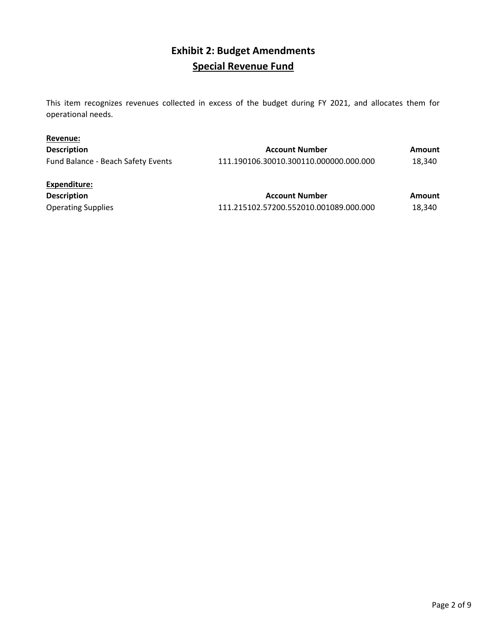## **Exhibit 2: Budget Amendments Special Revenue Fund**

This item recognizes revenues collected in excess of the budget during FY 2021, and allocates them for operational needs.

| Revenue:                           |                                        |        |
|------------------------------------|----------------------------------------|--------|
| <b>Description</b>                 | <b>Account Number</b>                  | Amount |
| Fund Balance - Beach Safety Events | 111.190106.30010.300110.000000.000.000 | 18,340 |
| Expenditure:                       |                                        |        |
| <b>Description</b>                 | <b>Account Number</b>                  | Amount |
| <b>Operating Supplies</b>          | 111.215102.57200.552010.001089.000.000 | 18.340 |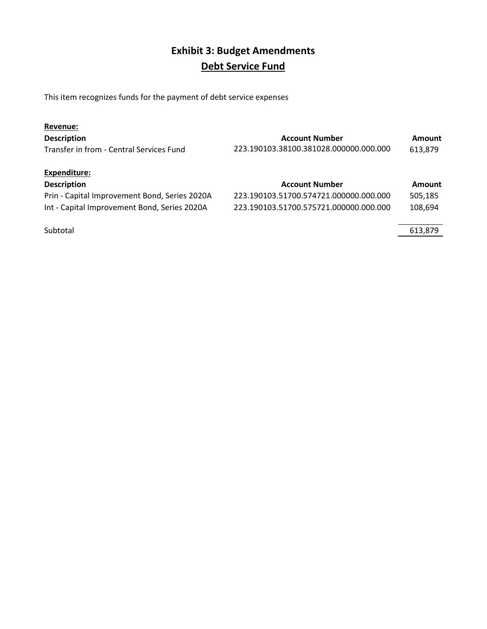# **Exhibit 3: Budget Amendments Debt Service Fund**

This item recognizes funds for the payment of debt service expenses

| Revenue:                                      |                                        |               |
|-----------------------------------------------|----------------------------------------|---------------|
| <b>Description</b>                            | <b>Account Number</b>                  | Amount        |
| Transfer in from - Central Services Fund      | 223.190103.38100.381028.000000.000.000 | 613,879       |
| Expenditure:                                  |                                        |               |
| <b>Description</b>                            | <b>Account Number</b>                  | <b>Amount</b> |
| Prin - Capital Improvement Bond, Series 2020A | 223.190103.51700.574721.000000.000.000 | 505,185       |
| Int - Capital Improvement Bond, Series 2020A  | 223.190103.51700.575721.000000.000.000 | 108,694       |
|                                               |                                        |               |
| Subtotal                                      |                                        | 613.879       |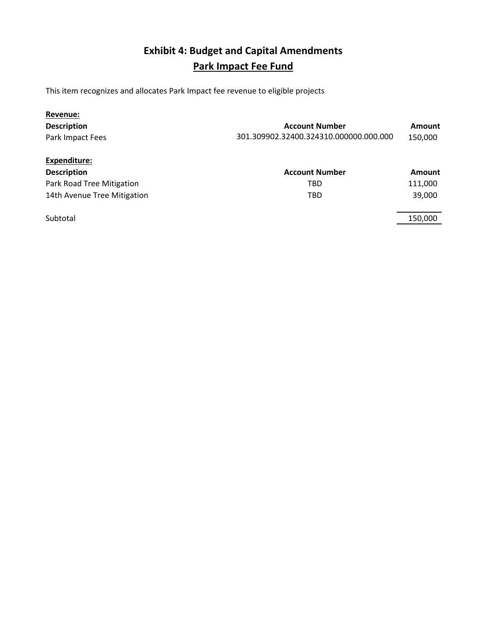# **Exhibit 4: Budget and Capital Amendments Park Impact Fee Fund**

This item recognizes and allocates Park Impact fee revenue to eligible projects

| Revenue:                    |                                        |         |
|-----------------------------|----------------------------------------|---------|
| <b>Description</b>          | <b>Account Number</b>                  | Amount  |
| Park Impact Fees            | 301.309902.32400.324310.000000.000.000 | 150,000 |
| Expenditure:                |                                        |         |
| <b>Description</b>          | <b>Account Number</b>                  | Amount  |
| Park Road Tree Mitigation   | TBD                                    | 111,000 |
| 14th Avenue Tree Mitigation | <b>TBD</b>                             | 39,000  |
| Subtotal                    |                                        | 150,000 |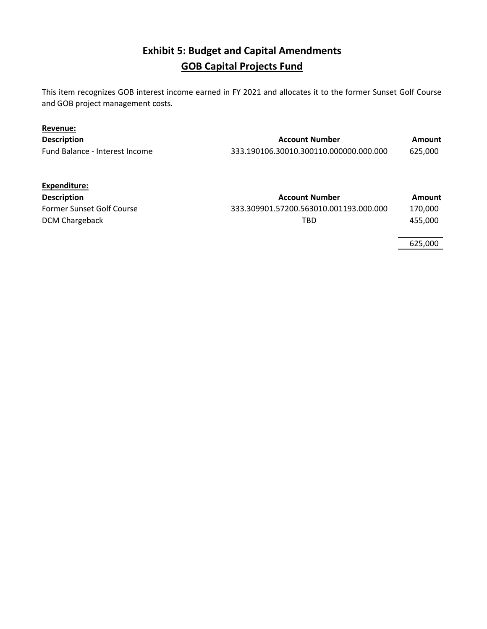### **Exhibit 5: Budget and Capital Amendments GOB Capital Projects Fund**

This item recognizes GOB interest income earned in FY 2021 and allocates it to the former Sunset Golf Course and GOB project management costs.

| Revenue:                       |                                        |         |
|--------------------------------|----------------------------------------|---------|
| <b>Description</b>             | <b>Account Number</b>                  | Amount  |
| Fund Balance - Interest Income | 333.190106.30010.300110.000000.000.000 | 625.000 |

| Expenditure:              |                                        |         |
|---------------------------|----------------------------------------|---------|
| <b>Description</b>        | <b>Account Number</b>                  | Amount  |
| Former Sunset Golf Course | 333.309901.57200.563010.001193.000.000 | 170.000 |
| DCM Chargeback            | TBD                                    | 455.000 |

625,000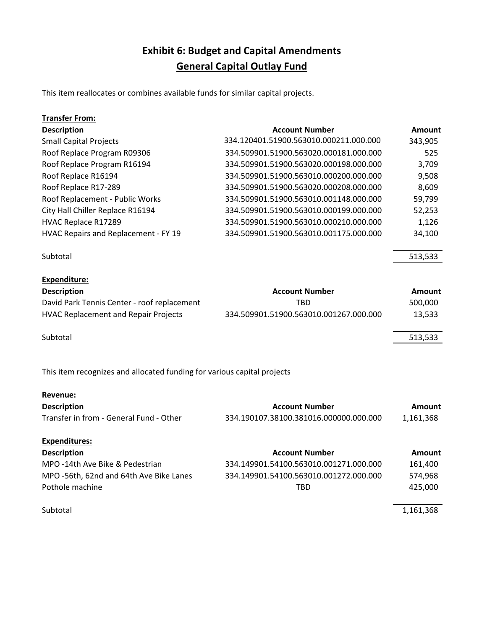### **Exhibit 6: Budget and Capital Amendments General Capital Outlay Fund**

This item reallocates or combines available funds for similar capital projects.

| <b>Transfer From:</b>                |                                        |         |
|--------------------------------------|----------------------------------------|---------|
| <b>Description</b>                   | <b>Account Number</b>                  | Amount  |
| <b>Small Capital Projects</b>        | 334.120401.51900.563010.000211.000.000 | 343,905 |
| Roof Replace Program R09306          | 334.509901.51900.563020.000181.000.000 | 525     |
| Roof Replace Program R16194          | 334.509901.51900.563020.000198.000.000 | 3,709   |
| Roof Replace R16194                  | 334.509901.51900.563010.000200.000.000 | 9,508   |
| Roof Replace R17-289                 | 334.509901.51900.563020.000208.000.000 | 8,609   |
| Roof Replacement - Public Works      | 334.509901.51900.563010.001148.000.000 | 59,799  |
| City Hall Chiller Replace R16194     | 334.509901.51900.563010.000199.000.000 | 52,253  |
| HVAC Replace R17289                  | 334.509901.51900.563010.000210.000.000 | 1,126   |
| HVAC Repairs and Replacement - FY 19 | 334.509901.51900.563010.001175.000.000 | 34,100  |
| Subtotal                             |                                        | 513,533 |
|                                      |                                        |         |

| <b>Expenditure:</b>                         |                                        |         |
|---------------------------------------------|----------------------------------------|---------|
| <b>Description</b>                          | <b>Account Number</b>                  | Amount  |
| David Park Tennis Center - roof replacement | TBD                                    | 500,000 |
| <b>HVAC Replacement and Repair Projects</b> | 334.509901.51900.563010.001267.000.000 | 13.533  |
| Subtotal                                    |                                        | 513,533 |

This item recognizes and allocated funding for various capital projects

| Revenue:                                |                                        |           |
|-----------------------------------------|----------------------------------------|-----------|
| <b>Description</b>                      | <b>Account Number</b>                  | Amount    |
| Transfer in from - General Fund - Other | 334.190107.38100.381016.000000.000.000 | 1,161,368 |
| <b>Expenditures:</b>                    |                                        |           |
| <b>Description</b>                      | <b>Account Number</b>                  | Amount    |
| MPO -14th Ave Bike & Pedestrian         | 334.149901.54100.563010.001271.000.000 | 161,400   |
| MPO -56th, 62nd and 64th Ave Bike Lanes | 334.149901.54100.563010.001272.000.000 | 574,968   |
| Pothole machine                         | <b>TBD</b>                             | 425,000   |
| Subtotal                                |                                        | 1,161,368 |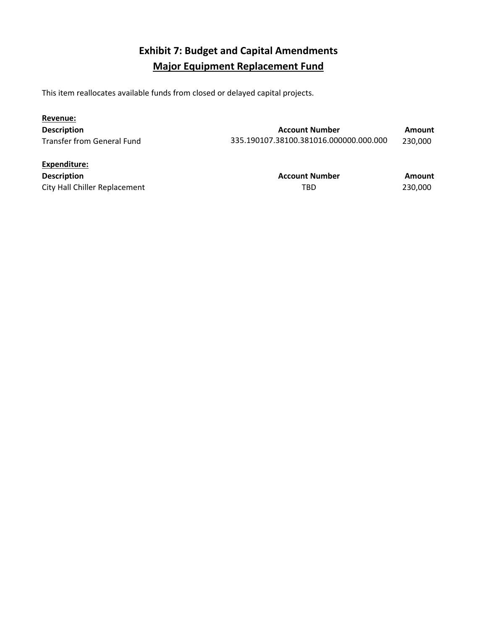# **Exhibit 7: Budget and Capital Amendments Major Equipment Replacement Fund**

This item reallocates available funds from closed or delayed capital projects.

| Revenue:                          |                                        |         |
|-----------------------------------|----------------------------------------|---------|
| <b>Description</b>                | <b>Account Number</b>                  | Amount  |
| <b>Transfer from General Fund</b> | 335.190107.38100.381016.000000.000.000 | 230,000 |

| Expenditure:                  |                       |         |
|-------------------------------|-----------------------|---------|
| <b>Description</b>            | <b>Account Number</b> | Amount  |
| City Hall Chiller Replacement | TBD                   | 230,000 |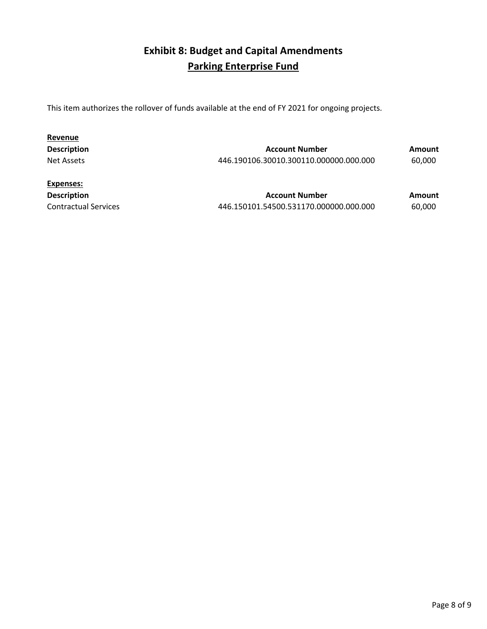### **Exhibit 8: Budget and Capital Amendments Parking Enterprise Fund**

This item authorizes the rollover of funds available at the end of FY 2021 for ongoing projects.

| Revenue            |                                        |        |
|--------------------|----------------------------------------|--------|
| <b>Description</b> | <b>Account Number</b>                  | Amount |
| Net Assets         | 446.190106.30010.300110.000000.000.000 | 60,000 |
| Expenses:          |                                        |        |
| <b>Description</b> | <b>Account Number</b>                  | Amount |

Contractual Services 446.150101.54500.531170.000000.000.000 60,000